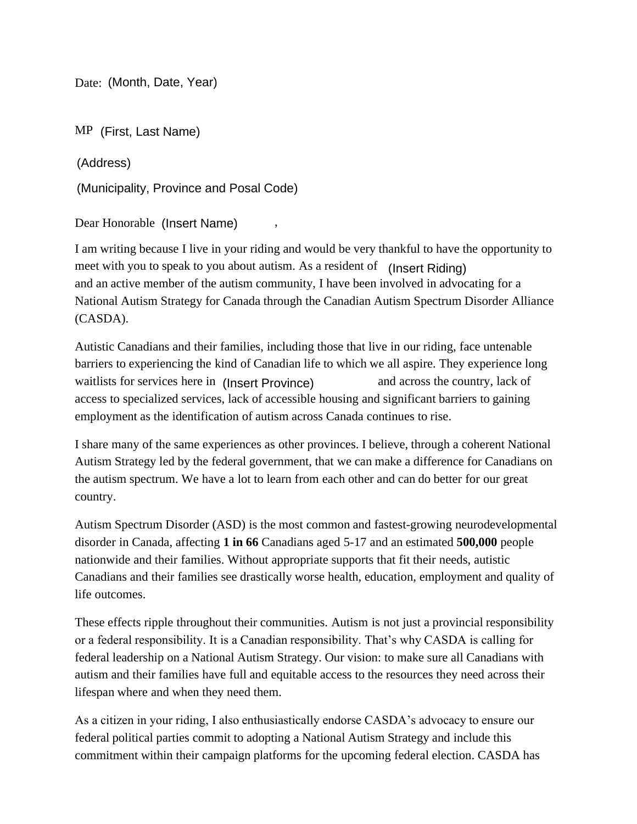Date: (Month, Date, Year)

MP (First, Last Name)

(Address)

(Municipality, Province and Posal Code)

Dear Honorable (Insert Name) ,

I am writing because I live in your riding and would be very thankful to have the opportunity to meet with you to speak to you about autism. As a resident of (Insert Riding) and an active member of the autism community, I have been involved in advocating for a National Autism Strategy for Canada through the Canadian Autism Spectrum Disorder Alliance (CASDA).

Autistic Canadians and their families, including those that live in our riding, face untenable barriers to experiencing the kind of Canadian life to which we all aspire. They experience long waitlists for services here in (Insert Province) and across the country, lack of access to specialized services, lack of accessible housing and significant barriers to gaining employment as the identification of autism across Canada continues to rise.

I share many of the same experiences as other provinces. I believe, through a coherent National Autism Strategy led by the federal government, that we can make a difference for Canadians on the autism spectrum. We have a lot to learn from each other and can do better for our great country.

Autism Spectrum Disorder (ASD) is the most common and fastest-growing neurodevelopmental disorder in Canada, affecting **1 in 66** Canadians aged 5-17 and an estimated **500,000** people nationwide and their families. Without appropriate supports that fit their needs, autistic Canadians and their families see drastically worse health, education, employment and quality of life outcomes.

These effects ripple throughout their communities. Autism is not just a provincial responsibility or a federal responsibility. It is a Canadian responsibility. That's why CASDA is calling for federal leadership on a National Autism Strategy. Our vision: to make sure all Canadians with autism and their families have full and equitable access to the resources they need across their lifespan where and when they need them.

As a citizen in your riding, I also enthusiastically endorse CASDA's advocacy to ensure our federal political parties commit to adopting a National Autism Strategy and include this commitment within their campaign platforms for the upcoming federal election. CASDA has